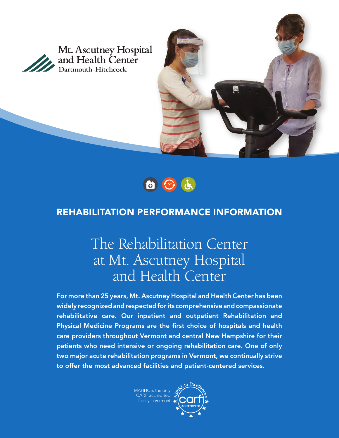

Mt. Ascutney Hospital and Health Center Dartmouth-Hitchcock





## REHABILITATION PERFORMANCE INFORMATION

# The Rehabilitation Center at Mt. Ascutney Hospital and Health Center

For more than 25 years, Mt. Ascutney Hospital and Health Center has been widely recognized and respected for its comprehensive and compassionate rehabilitative care. Our inpatient and outpatient Rehabilitation and Physical Medicine Programs are the first choice of hospitals and health care providers throughout Vermont and central New Hampshire for their patients who need intensive or ongoing rehabilitation care. One of only two major acute rehabilitation programs in Vermont, we continually strive to offer the most advanced facilities and patient-centered services.

> MAHHC is the only CARF accredited acility in Vermont